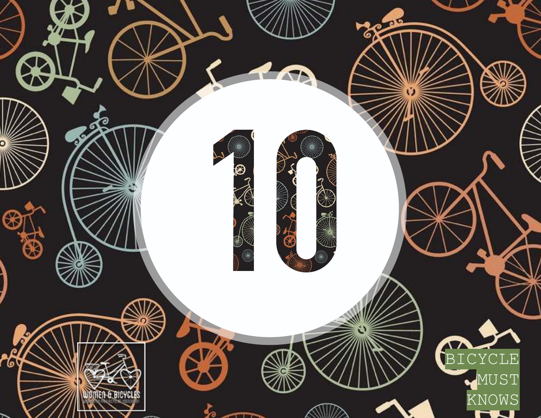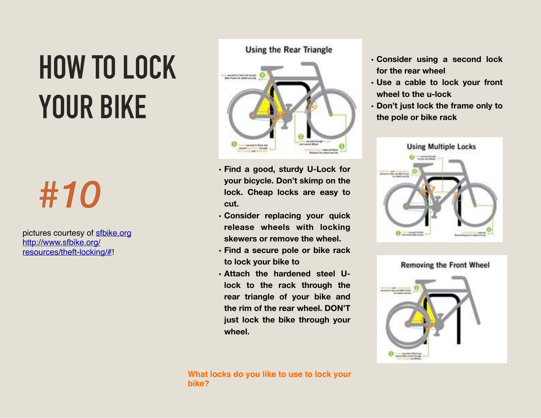# **HOW TO LOCK YOUR BIKE**

## *#10*

pictures courtesy of [sfbike.org](http://sfbike.org) http://www.sfbike.org/ [resources/theft-locking/#!](http://www.sfbike.org/resources/theft-locking/#)

#### **Using the Rear Triangle**



- **• Find a good, sturdy U-Lock for your bicycle. Don't skimp on the lock. Cheap locks are easy to cut.**
- **• Consider replacing your quick release wheels with locking skewers or remove the wheel.**
- **• Find a secure pole or bike rack to lock your bike to**
- **• Attach the hardened steel Ulock to the rack through the rear triangle of your bike and the rim of the rear wheel. DON'T just lock the bike through your wheel.**



- **• Consider using a second lock for the rear wheel**
- **• Use a cable to lock your front wheel to the u-lock**
- **• Don't just lock the frame only to the pole or bike rack**



**Removing the Front Wheel** 

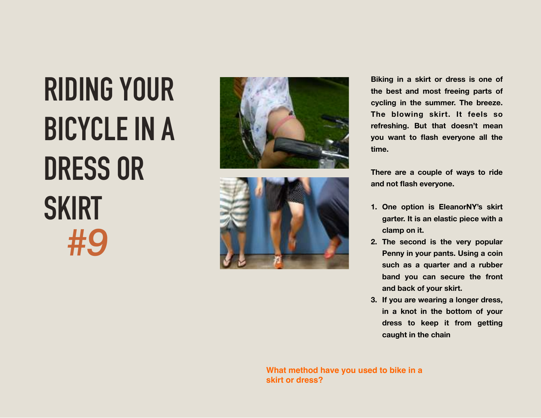## **RIDING YOUR BICYCLE IN A DRESS OR SKIRT** *#9*





**Biking in a skirt or dress is one of the best and most freeing parts of cycling in the summer. The breeze. The blowing skirt. It feels so refreshing. But that doesn't mean you want to flash everyone all the time.** 

**There are a couple of ways to ride and not flash everyone.** 

- **1. One option is EleanorNY's skirt garter. It is an elastic piece with a clamp on it.**
- **2. The second is the very popular Penny in your pants. Using a coin such as a quarter and a rubber band you can secure the front and back of your skirt.**
- **3. If you are wearing a longer dress, in a knot in the bottom of your dress to keep it from getting caught in the chain**

**What method have you used to bike in a skirt or dress?**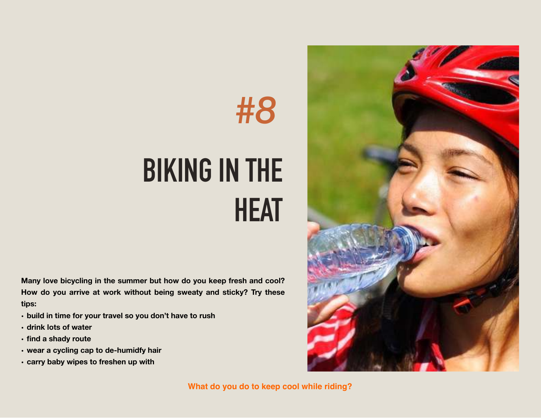



#### **BIKING IN THE HEAT**

**Many love bicycling in the summer but how do you keep fresh and cool? How do you arrive at work without being sweaty and sticky? Try these tips:** 

- **• build in time for your travel so you don't have to rush**
- **• drink lots of water**
- **• find a shady route**
- **• wear a cycling cap to de-humidfy hair**
- **• carry baby wipes to freshen up with**

**What do you do to keep cool while riding?**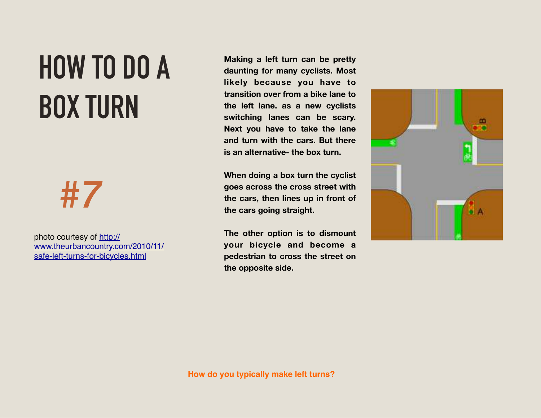#### **HOW TO DO A BOX TURN**



photo courtesy of http:// [www.theurbancountry.com/2010/11/](http://www.theurbancountry.com/2010/11/safe-left-turns-for-bicycles.html) safe-left-turns-for-bicycles.html

**Making a left turn can be pretty daunting for many cyclists. Most likely because you have to transition over from a bike lane to the left lane. as a new cyclists switching lanes can be scary. Next you have to take the lane and turn with the cars. But there is an alternative- the box turn.** 

**When doing a box turn the cyclist goes across the cross street with the cars, then lines up in front of the cars going straight.** 

**The other option is to dismount your bicycle and become a pedestrian to cross the street on the opposite side.** 

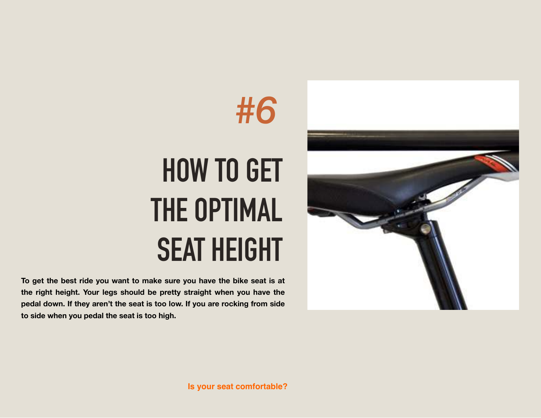



# **HOW TO GET THE OPTIMAL SEAT HEIGHT**

**To get the best ride you want to make sure you have the bike seat is at the right height. Your legs should be pretty straight when you have the pedal down. If they aren't the seat is too low. If you are rocking from side to side when you pedal the seat is too high.**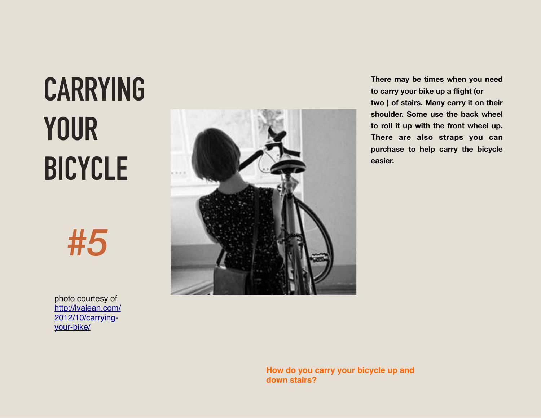# **CARRYING YOUR BICYCLE**

*#5*

photo courtesy of [http://ivajean.com/](http://ivajean.com/2012/10/carrying-your-bike/) 2012/10/carryingyour-bike/



**There may be times when you need to carry your bike up a flight (or two ) of stairs. Many carry it on their shoulder. Some use the back wheel to roll it up with the front wheel up. There are also straps you can purchase to help carry the bicycle easier.** 

**How do you carry your bicycle up and down stairs?**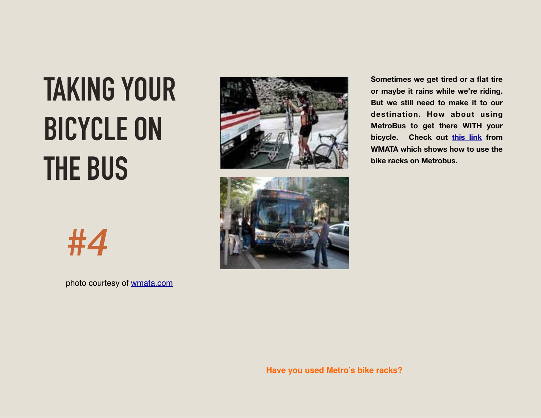# **TAKING YOUR BICYCLE ON THE BUS**

*#4*

photo courtesy of [wmata.com](http://wmata.com)





**Sometimes we get tired or a flat tire or maybe it rains while we're riding. But we still need to make it to our destination. How about using MetroBus to get there WITH your bicycle. Check out [this link](http://www.wmata.com/getting_around/bike_ride/bikes_bus.cfm) from WMATA which shows how to use the bike racks on Metrobus.**

**Have you used Metro's bike racks?**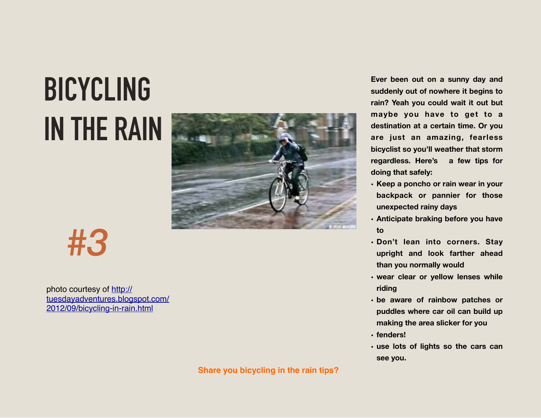# **BICYCLING IN THE RAIN**



*#3*

photo courtesy of http:// [tuesdayadventures.blogspot.com/](http://tuesdayadventures.blogspot.com/2012/09/bicycling-in-rain.html) 2012/09/bicycling-in-rain.html

**Share you bicycling in the rain tips?**

**Ever been out on a sunny day and suddenly out of nowhere it begins to rain? Yeah you could wait it out but maybe you have to get to a destination at a certain time. Or you are just an amazing, fearless bicyclist so you'll weather that storm regardless. Here's a few tips for doing that safely:** 

- **• Keep a poncho or rain wear in your backpack or pannier for those unexpected rainy days**
- **• Anticipate braking before you have to**
- **• Don't lean into corners. Stay upright and look farther ahead than you normally would**
- **• wear clear or yellow lenses while riding**
- **• be aware of rainbow patches or puddles where car oil can build up making the area slicker for you**
- **• fenders!**
- **• use lots of lights so the cars can see you.**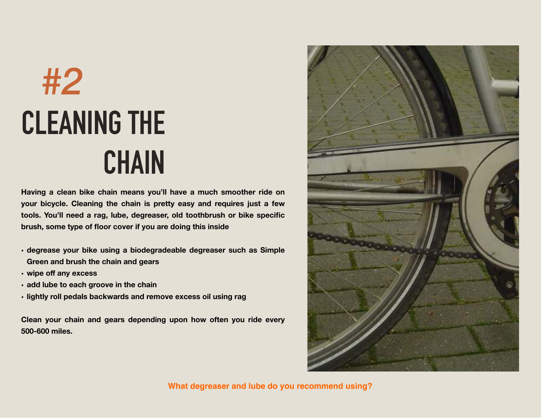# **CLEANING THE CHAIN** *#2*

**Having a clean bike chain means you'll have a much smoother ride on your bicycle. Cleaning the chain is pretty easy and requires just a few tools. You'll need a rag, lube, degreaser, old toothbrush or bike specific brush, some type of floor cover if you are doing this inside** 

- **• degrease your bike using a biodegradeable degreaser such as Simple Green and brush the chain and gears**
- **• wipe off any excess**
- **• add lube to each groove in the chain**
- **• lightly roll pedals backwards and remove excess oil using rag**

**Clean your chain and gears depending upon how often you ride every 500-600 miles.** 



**What degreaser and lube do you recommend using?**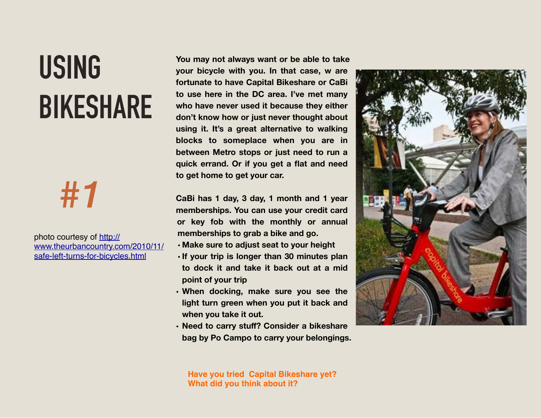### **USING BIKESHARE**



photo courtesy of http:// [www.theurbancountry.com/2010/11/](http://www.theurbancountry.com/2010/11/safe-left-turns-for-bicycles.html) safe-left-turns-for-bicycles.html

**You may not always want or be able to take your bicycle with you. In that case, w are fortunate to have Capital Bikeshare or CaBi to use here in the DC area. I've met many who have never used it because they either don't know how or just never thought about using it. It's a great alternative to walking blocks to someplace when you are in between Metro stops or just need to run a quick errand. Or if you get a flat and need to get home to get your car.** 

**CaBi has 1 day, 3 day, 1 month and 1 year memberships. You can use your credit card or key fob with the monthly or annual memberships to grab a bike and go.** 

- **• Make sure to adjust seat to your height**
- **• If your trip is longer than 30 minutes plan to dock it and take it back out at a mid point of your trip**
- **• When docking, make sure you see the light turn green when you put it back and when you take it out.**
- **• Need to carry stuff? Consider a bikeshare bag by Po Campo to carry your belongings.**



**Have you tried Capital Bikeshare yet? What did you think about it?**